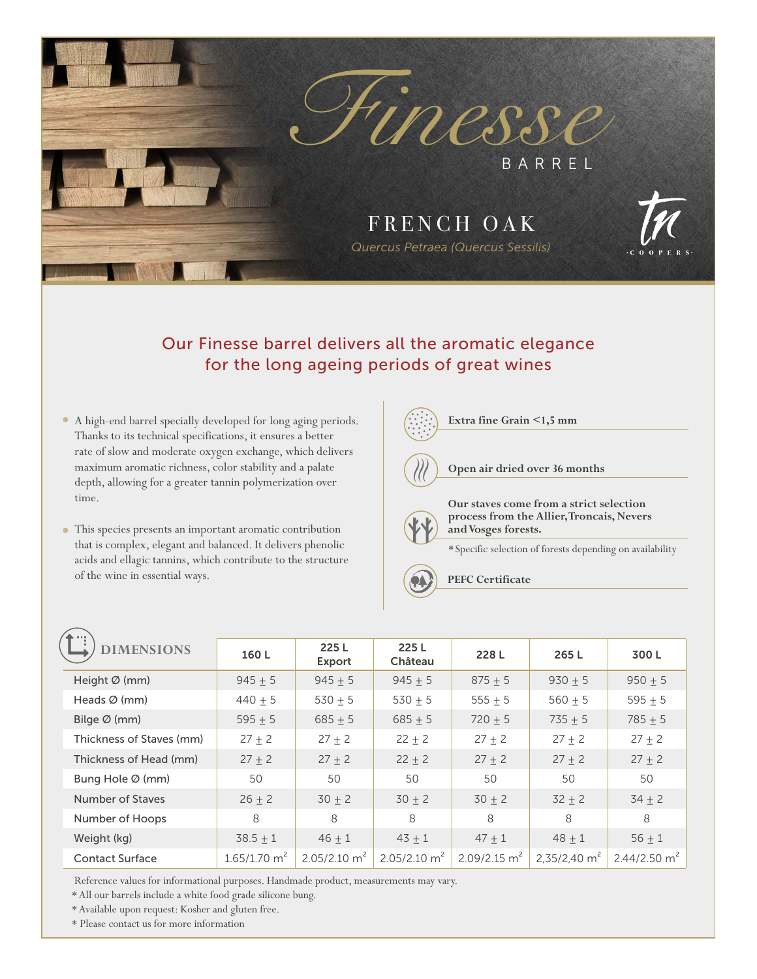

# Our Finesse barrel delivers all the aromatic elegance for the long ageing periods of great wines

- A high-end barrel specially developed for long aging periods. Thanks to its technical specifications, it ensures a better rate of slow and moderate oxygen exchange, which delivers maximum aromatic richness, color stability and a palate depth, allowing for a greater tannin polymerization over time.
- This species presents an important aromatic contribution that is complex, elegant and balanced. It delivers phenolic acids and ellagic tannins, which contribute to the structure of the wine in essential ways.



| $\blacktriangle$          |                            |                            |                            |                            |                |                |
|---------------------------|----------------------------|----------------------------|----------------------------|----------------------------|----------------|----------------|
| <b>DIMENSIONS</b>         | 160L                       | 225L<br>Export             | 225L<br>Château            | 228L                       | 265L           | 300L           |
| Height $\varnothing$ (mm) | $945 + 5$                  | $945 + 5$                  | $945 + 5$                  | $875 + 5$                  | $930 + 5$      | $950 + 5$      |
| Heads $\varnothing$ (mm)  | $440 + 5$                  | $530 + 5$                  | 530 $\pm$ 5                | $555 + 5$                  | $560 + 5$      | $595 + 5$      |
| Bilge $\varnothing$ (mm)  | $595 + 5$                  | $685 + 5$                  | $685 + 5$                  | $720 + 5$                  | $735 + 5$      | $785 + 5$      |
| Thickness of Staves (mm)  | $27 + 2$                   | $27 + 2$                   | $22 + 2$                   | $27 + 2$                   | $27 + 2$       | $27 + 2$       |
| Thickness of Head (mm)    | $27 + 2$                   | $27 + 2$                   | $22 + 2$                   | $27 + 2$                   | $27 + 2$       | $27 + 2$       |
| Bung Hole Ø (mm)          | 50                         | 50                         | 50                         | 50                         | 50             | 50             |
| Number of Staves          | $26 \pm 2$                 | $30 \pm 2$                 | $30 + 2$                   | $30 + 2$                   | $32 + 2$       | $34 \pm 2$     |
| Number of Hoops           | 8                          | 8                          | 8                          | 8                          | 8              | 8              |
| Weight (kg)               | $38.5 \pm 1$               | $46 + 1$                   | $43 + 1$                   | $47 + 1$                   | $48 + 1$       | $56 + 1$       |
| <b>Contact Surface</b>    | $1.65/1.70$ m <sup>2</sup> | $2.05/2.10$ m <sup>2</sup> | $2.05/2.10$ m <sup>2</sup> | $2.09/2.15$ m <sup>2</sup> | 2,35/2,40 $m2$ | 2.44/2.50 $m2$ |

Reference values for informational purposes. Handmade product, measurements may vary.

\* All our barrels include a white food grade silicone bung.

\* Available upon request: Kosher and gluten free.

\* Please contact us for more information